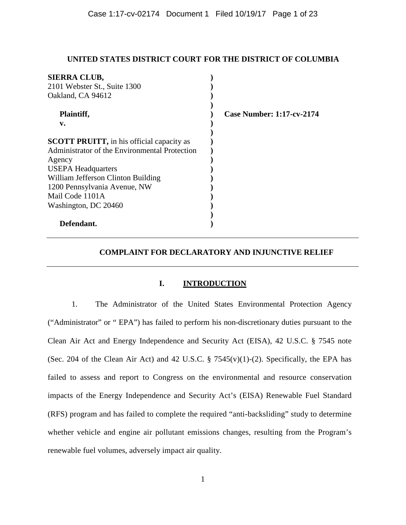### **UNITED STATES DISTRICT COURT FOR THE DISTRICT OF COLUMBIA**

| <b>SIERRA CLUB,</b>                              |                                  |
|--------------------------------------------------|----------------------------------|
| 2101 Webster St., Suite 1300                     |                                  |
| Oakland, CA 94612                                |                                  |
|                                                  |                                  |
| Plaintiff,                                       | <b>Case Number: 1:17-cv-2174</b> |
| v.                                               |                                  |
|                                                  |                                  |
| <b>SCOTT PRUITT, in his official capacity as</b> |                                  |
| Administrator of the Environmental Protection    |                                  |
| Agency                                           |                                  |
| <b>USEPA Headquarters</b>                        |                                  |
| William Jefferson Clinton Building               |                                  |
| 1200 Pennsylvania Avenue, NW                     |                                  |
| Mail Code 1101A                                  |                                  |
| Washington, DC 20460                             |                                  |
|                                                  |                                  |
| Defendant.                                       |                                  |

# **COMPLAINT FOR DECLARATORY AND INJUNCTIVE RELIEF**

# **I. INTRODUCTION**

1. The Administrator of the United States Environmental Protection Agency ("Administrator" or " EPA") has failed to perform his non-discretionary duties pursuant to the Clean Air Act and Energy Independence and Security Act (EISA), 42 U.S.C. § 7545 note (Sec. 204 of the Clean Air Act) and 42 U.S.C. § 7545(v)(1)-(2). Specifically, the EPA has failed to assess and report to Congress on the environmental and resource conservation impacts of the Energy Independence and Security Act's (EISA) Renewable Fuel Standard (RFS) program and has failed to complete the required "anti-backsliding" study to determine whether vehicle and engine air pollutant emissions changes, resulting from the Program's renewable fuel volumes, adversely impact air quality.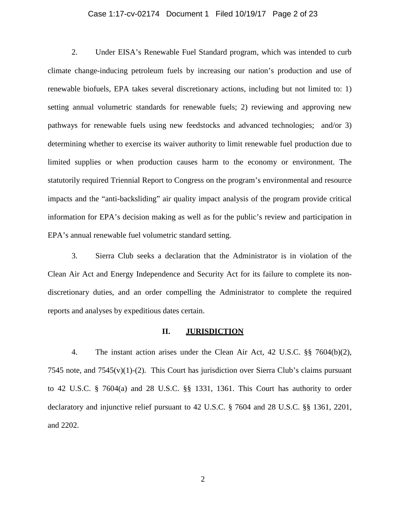#### Case 1:17-cv-02174 Document 1 Filed 10/19/17 Page 2 of 23

2. Under EISA's Renewable Fuel Standard program, which was intended to curb climate change-inducing petroleum fuels by increasing our nation's production and use of renewable biofuels, EPA takes several discretionary actions, including but not limited to: 1) setting annual volumetric standards for renewable fuels; 2) reviewing and approving new pathways for renewable fuels using new feedstocks and advanced technologies; and/or 3) determining whether to exercise its waiver authority to limit renewable fuel production due to limited supplies or when production causes harm to the economy or environment. The statutorily required Triennial Report to Congress on the program's environmental and resource impacts and the "anti-backsliding" air quality impact analysis of the program provide critical information for EPA's decision making as well as for the public's review and participation in EPA's annual renewable fuel volumetric standard setting.

3. Sierra Club seeks a declaration that the Administrator is in violation of the Clean Air Act and Energy Independence and Security Act for its failure to complete its nondiscretionary duties, and an order compelling the Administrator to complete the required reports and analyses by expeditious dates certain.

#### **II. JURISDICTION**

4. The instant action arises under the Clean Air Act, 42 U.S.C. §§ 7604(b)(2), 7545 note, and  $7545(v)(1)-(2)$ . This Court has jurisdiction over Sierra Club's claims pursuant to 42 U.S.C. § 7604(a) and 28 U.S.C. §§ 1331, 1361. This Court has authority to order declaratory and injunctive relief pursuant to 42 U.S.C. § 7604 and 28 U.S.C. §§ 1361, 2201, and 2202.

2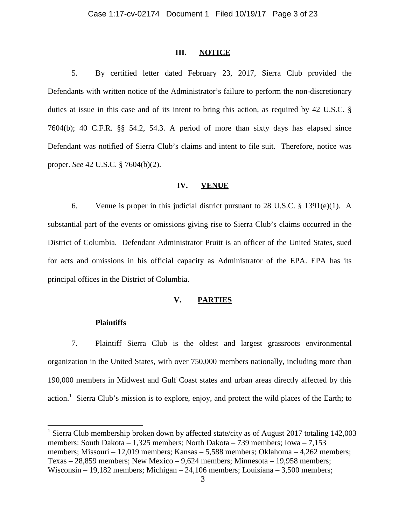#### **III. NOTICE**

5. By certified letter dated February 23, 2017, Sierra Club provided the Defendants with written notice of the Administrator's failure to perform the non-discretionary duties at issue in this case and of its intent to bring this action, as required by 42 U.S.C. § 7604(b); 40 C.F.R. §§ 54.2, 54.3. A period of more than sixty days has elapsed since Defendant was notified of Sierra Club's claims and intent to file suit. Therefore, notice was proper. *See* 42 U.S.C. § 7604(b)(2).

#### **IV. VENUE**

6. Venue is proper in this judicial district pursuant to 28 U.S.C. § 1391(e)(1). A substantial part of the events or omissions giving rise to Sierra Club's claims occurred in the District of Columbia. Defendant Administrator Pruitt is an officer of the United States, sued for acts and omissions in his official capacity as Administrator of the EPA. EPA has its principal offices in the District of Columbia.

# **V. PARTIES**

#### **Plaintiffs**

 $\overline{a}$ 

7. Plaintiff Sierra Club is the oldest and largest grassroots environmental organization in the United States, with over 750,000 members nationally, including more than 190,000 members in Midwest and Gulf Coast states and urban areas directly affected by this action.<sup>1</sup> Sierra Club's mission is to explore, enjoy, and protect the wild places of the Earth; to

<sup>1</sup> Sierra Club membership broken down by affected state/city as of August 2017 totaling 142,003 members: South Dakota – 1,325 members; North Dakota – 739 members; Iowa – 7,153 members; Missouri – 12,019 members; Kansas – 5,588 members; Oklahoma – 4,262 members; Texas – 28,859 members; New Mexico – 9,624 members; Minnesota – 19,958 members; Wisconsin – 19,182 members; Michigan – 24,106 members; Louisiana – 3,500 members;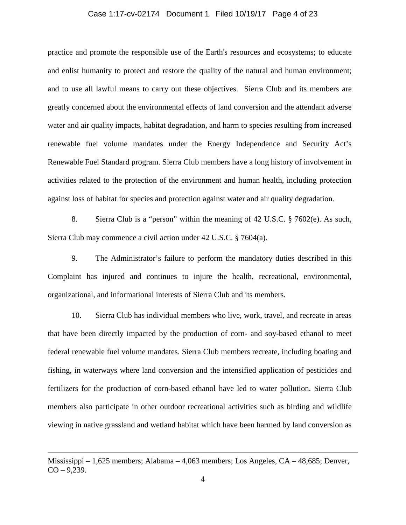#### Case 1:17-cv-02174 Document 1 Filed 10/19/17 Page 4 of 23

practice and promote the responsible use of the Earth's resources and ecosystems; to educate and enlist humanity to protect and restore the quality of the natural and human environment; and to use all lawful means to carry out these objectives. Sierra Club and its members are greatly concerned about the environmental effects of land conversion and the attendant adverse water and air quality impacts, habitat degradation, and harm to species resulting from increased renewable fuel volume mandates under the Energy Independence and Security Act's Renewable Fuel Standard program. Sierra Club members have a long history of involvement in activities related to the protection of the environment and human health, including protection against loss of habitat for species and protection against water and air quality degradation.

8. Sierra Club is a "person" within the meaning of 42 U.S.C. § 7602(e). As such, Sierra Club may commence a civil action under 42 U.S.C. § 7604(a).

9. The Administrator's failure to perform the mandatory duties described in this Complaint has injured and continues to injure the health, recreational, environmental, organizational, and informational interests of Sierra Club and its members.

10. Sierra Club has individual members who live, work, travel, and recreate in areas that have been directly impacted by the production of corn- and soy-based ethanol to meet federal renewable fuel volume mandates. Sierra Club members recreate, including boating and fishing, in waterways where land conversion and the intensified application of pesticides and fertilizers for the production of corn-based ethanol have led to water pollution. Sierra Club members also participate in other outdoor recreational activities such as birding and wildlife viewing in native grassland and wetland habitat which have been harmed by land conversion as

Mississippi – 1,625 members; Alabama – 4,063 members; Los Angeles, CA – 48,685; Denver,  $CO - 9,239.$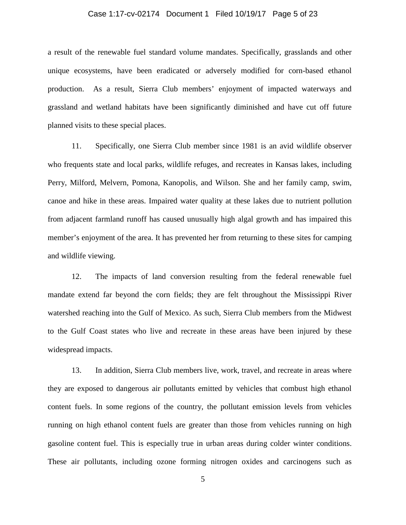#### Case 1:17-cv-02174 Document 1 Filed 10/19/17 Page 5 of 23

a result of the renewable fuel standard volume mandates. Specifically, grasslands and other unique ecosystems, have been eradicated or adversely modified for corn-based ethanol production. As a result, Sierra Club members' enjoyment of impacted waterways and grassland and wetland habitats have been significantly diminished and have cut off future planned visits to these special places.

11. Specifically, one Sierra Club member since 1981 is an avid wildlife observer who frequents state and local parks, wildlife refuges, and recreates in Kansas lakes, including Perry, Milford, Melvern, Pomona, Kanopolis, and Wilson. She and her family camp, swim, canoe and hike in these areas. Impaired water quality at these lakes due to nutrient pollution from adjacent farmland runoff has caused unusually high algal growth and has impaired this member's enjoyment of the area. It has prevented her from returning to these sites for camping and wildlife viewing.

12. The impacts of land conversion resulting from the federal renewable fuel mandate extend far beyond the corn fields; they are felt throughout the Mississippi River watershed reaching into the Gulf of Mexico. As such, Sierra Club members from the Midwest to the Gulf Coast states who live and recreate in these areas have been injured by these widespread impacts.

13. In addition, Sierra Club members live, work, travel, and recreate in areas where they are exposed to dangerous air pollutants emitted by vehicles that combust high ethanol content fuels. In some regions of the country, the pollutant emission levels from vehicles running on high ethanol content fuels are greater than those from vehicles running on high gasoline content fuel. This is especially true in urban areas during colder winter conditions. These air pollutants, including ozone forming nitrogen oxides and carcinogens such as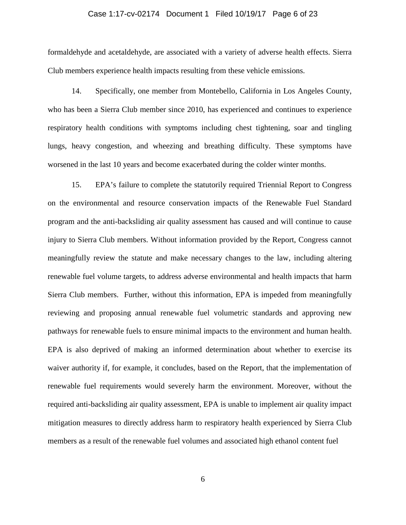#### Case 1:17-cv-02174 Document 1 Filed 10/19/17 Page 6 of 23

formaldehyde and acetaldehyde, are associated with a variety of adverse health effects. Sierra Club members experience health impacts resulting from these vehicle emissions.

14. Specifically, one member from Montebello, California in Los Angeles County, who has been a Sierra Club member since 2010, has experienced and continues to experience respiratory health conditions with symptoms including chest tightening, soar and tingling lungs, heavy congestion, and wheezing and breathing difficulty. These symptoms have worsened in the last 10 years and become exacerbated during the colder winter months.

15. EPA's failure to complete the statutorily required Triennial Report to Congress on the environmental and resource conservation impacts of the Renewable Fuel Standard program and the anti-backsliding air quality assessment has caused and will continue to cause injury to Sierra Club members. Without information provided by the Report, Congress cannot meaningfully review the statute and make necessary changes to the law, including altering renewable fuel volume targets, to address adverse environmental and health impacts that harm Sierra Club members. Further, without this information, EPA is impeded from meaningfully reviewing and proposing annual renewable fuel volumetric standards and approving new pathways for renewable fuels to ensure minimal impacts to the environment and human health. EPA is also deprived of making an informed determination about whether to exercise its waiver authority if, for example, it concludes, based on the Report, that the implementation of renewable fuel requirements would severely harm the environment. Moreover, without the required anti-backsliding air quality assessment, EPA is unable to implement air quality impact mitigation measures to directly address harm to respiratory health experienced by Sierra Club members as a result of the renewable fuel volumes and associated high ethanol content fuel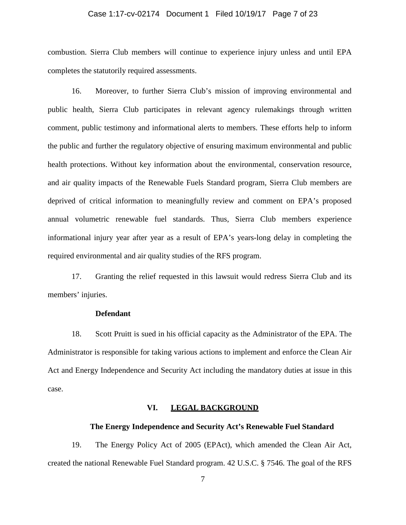### Case 1:17-cv-02174 Document 1 Filed 10/19/17 Page 7 of 23

combustion. Sierra Club members will continue to experience injury unless and until EPA completes the statutorily required assessments.

16. Moreover, to further Sierra Club's mission of improving environmental and public health, Sierra Club participates in relevant agency rulemakings through written comment, public testimony and informational alerts to members. These efforts help to inform the public and further the regulatory objective of ensuring maximum environmental and public health protections. Without key information about the environmental, conservation resource, and air quality impacts of the Renewable Fuels Standard program, Sierra Club members are deprived of critical information to meaningfully review and comment on EPA's proposed annual volumetric renewable fuel standards. Thus, Sierra Club members experience informational injury year after year as a result of EPA's years-long delay in completing the required environmental and air quality studies of the RFS program.

17. Granting the relief requested in this lawsuit would redress Sierra Club and its members' injuries.

#### **Defendant**

18. Scott Pruitt is sued in his official capacity as the Administrator of the EPA. The Administrator is responsible for taking various actions to implement and enforce the Clean Air Act and Energy Independence and Security Act including the mandatory duties at issue in this case.

### **VI. LEGAL BACKGROUND**

# **The Energy Independence and Security Act's Renewable Fuel Standard**

19. The Energy Policy Act of 2005 (EPAct), which amended the Clean Air Act, created the national Renewable Fuel Standard program. 42 U.S.C. § 7546. The goal of the RFS

7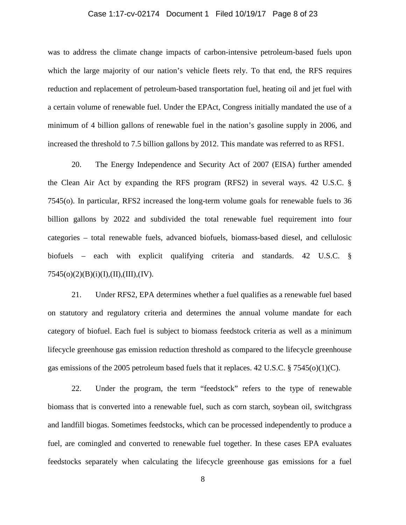#### Case 1:17-cv-02174 Document 1 Filed 10/19/17 Page 8 of 23

was to address the climate change impacts of carbon-intensive petroleum-based fuels upon which the large majority of our nation's vehicle fleets rely. To that end, the RFS requires reduction and replacement of petroleum-based transportation fuel, heating oil and jet fuel with a certain volume of renewable fuel. Under the EPAct, Congress initially mandated the use of a minimum of 4 billion gallons of renewable fuel in the nation's gasoline supply in 2006, and increased the threshold to 7.5 billion gallons by 2012. This mandate was referred to as RFS1.

20. The Energy Independence and Security Act of 2007 (EISA) further amended the Clean Air Act by expanding the RFS program (RFS2) in several ways. 42 U.S.C. § 7545(o). In particular, RFS2 increased the long-term volume goals for renewable fuels to 36 billion gallons by 2022 and subdivided the total renewable fuel requirement into four categories – total renewable fuels, advanced biofuels, biomass-based diesel, and cellulosic biofuels – each with explicit qualifying criteria and standards. 42 U.S.C. §  $7545(o)(2)(B)(i)(I),(II),(III),(IV).$ 

21. Under RFS2, EPA determines whether a fuel qualifies as a renewable fuel based on statutory and regulatory criteria and determines the annual volume mandate for each category of biofuel. Each fuel is subject to biomass feedstock criteria as well as a minimum lifecycle greenhouse gas emission reduction threshold as compared to the lifecycle greenhouse gas emissions of the 2005 petroleum based fuels that it replaces. 42 U.S.C. § 7545(o)(1)(C).

22. Under the program, the term "feedstock" refers to the type of renewable biomass that is converted into a renewable fuel, such as corn starch, soybean oil, switchgrass and landfill biogas. Sometimes feedstocks, which can be processed independently to produce a fuel, are comingled and converted to renewable fuel together. In these cases EPA evaluates feedstocks separately when calculating the lifecycle greenhouse gas emissions for a fuel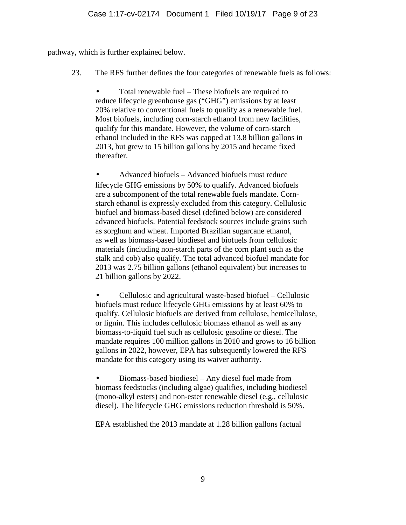pathway, which is further explained below.

23. The RFS further defines the four categories of renewable fuels as follows:

• Total renewable fuel – These biofuels are required to reduce lifecycle greenhouse gas ("GHG") emissions by at least 20% relative to conventional fuels to qualify as a renewable fuel. Most biofuels, including corn-starch ethanol from new facilities, qualify for this mandate. However, the volume of corn-starch ethanol included in the RFS was capped at 13.8 billion gallons in 2013, but grew to 15 billion gallons by 2015 and became fixed thereafter.

• Advanced biofuels – Advanced biofuels must reduce lifecycle GHG emissions by 50% to qualify. Advanced biofuels are a subcomponent of the total renewable fuels mandate. Cornstarch ethanol is expressly excluded from this category. Cellulosic biofuel and biomass-based diesel (defined below) are considered advanced biofuels. Potential feedstock sources include grains such as sorghum and wheat. Imported Brazilian sugarcane ethanol, as well as biomass-based biodiesel and biofuels from cellulosic materials (including non-starch parts of the corn plant such as the stalk and cob) also qualify. The total advanced biofuel mandate for 2013 was 2.75 billion gallons (ethanol equivalent) but increases to 21 billion gallons by 2022.

• Cellulosic and agricultural waste-based biofuel – Cellulosic biofuels must reduce lifecycle GHG emissions by at least 60% to qualify. Cellulosic biofuels are derived from cellulose, hemicellulose, or lignin. This includes cellulosic biomass ethanol as well as any biomass-to-liquid fuel such as cellulosic gasoline or diesel. The mandate requires 100 million gallons in 2010 and grows to 16 billion gallons in 2022, however, EPA has subsequently lowered the RFS mandate for this category using its waiver authority.

• Biomass-based biodiesel – Any diesel fuel made from biomass feedstocks (including algae) qualifies, including biodiesel (mono-alkyl esters) and non-ester renewable diesel (e.g., cellulosic diesel). The lifecycle GHG emissions reduction threshold is 50%.

EPA established the 2013 mandate at 1.28 billion gallons (actual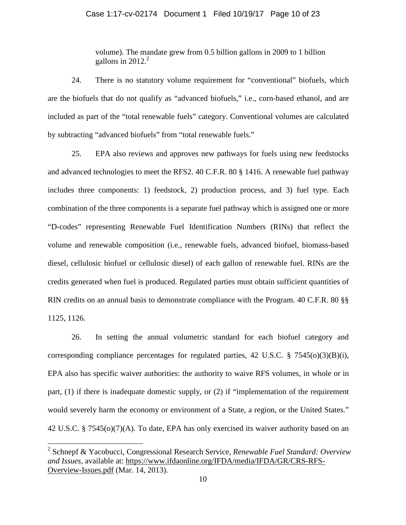volume). The mandate grew from 0.5 billion gallons in 2009 to 1 billion gallons in  $2012.<sup>2</sup>$ 

24. There is no statutory volume requirement for "conventional" biofuels, which are the biofuels that do not qualify as "advanced biofuels," i.e., corn-based ethanol, and are included as part of the "total renewable fuels" category. Conventional volumes are calculated by subtracting "advanced biofuels" from "total renewable fuels."

25. EPA also reviews and approves new pathways for fuels using new feedstocks and advanced technologies to meet the RFS2. 40 C.F.R. 80 § 1416. A renewable fuel pathway includes three components: 1) feedstock, 2) production process, and 3) fuel type. Each combination of the three components is a separate fuel pathway which is assigned one or more "D-codes" representing Renewable Fuel Identification Numbers (RINs) that reflect the volume and renewable composition (i.e., renewable fuels, advanced biofuel, biomass-based diesel, cellulosic biofuel or cellulosic diesel) of each gallon of renewable fuel. RINs are the credits generated when fuel is produced. Regulated parties must obtain sufficient quantities of RIN credits on an annual basis to demonstrate compliance with the Program. 40 C.F.R. 80 §§ 1125, 1126.

26. In setting the annual volumetric standard for each biofuel category and corresponding compliance percentages for regulated parties, 42 U.S.C. § 7545(o)(3)(B)(i), EPA also has specific waiver authorities: the authority to waive RFS volumes, in whole or in part, (1) if there is inadequate domestic supply, or (2) if "implementation of the requirement would severely harm the economy or environment of a State, a region, or the United States." 42 U.S.C. § 7545(o)(7)(A). To date, EPA has only exercised its waiver authority based on an

<sup>2</sup> Schnepf & Yacobucci, Congressional Research Service, *Renewable Fuel Standard: Overview and Issues*, available at: https://www.ifdaonline.org/IFDA/media/IFDA/GR/CRS-RFS-Overview-Issues.pdf (Mar. 14, 2013).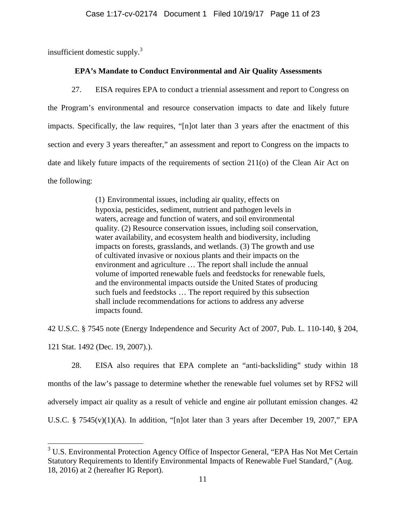insufficient domestic supply. $3$ 

# **EPA's Mandate to Conduct Environmental and Air Quality Assessments**

27. EISA requires EPA to conduct a triennial assessment and report to Congress on the Program's environmental and resource conservation impacts to date and likely future impacts. Specifically, the law requires, "[n]ot later than 3 years after the enactment of this section and every 3 years thereafter," an assessment and report to Congress on the impacts to date and likely future impacts of the requirements of section 211(o) of the Clean Air Act on the following:

> (1) Environmental issues, including air quality, effects on hypoxia, pesticides, sediment, nutrient and pathogen levels in waters, acreage and function of waters, and soil environmental quality. (2) Resource conservation issues, including soil conservation, water availability, and ecosystem health and biodiversity, including impacts on forests, grasslands, and wetlands. (3) The growth and use of cultivated invasive or noxious plants and their impacts on the environment and agriculture … The report shall include the annual volume of imported renewable fuels and feedstocks for renewable fuels, and the environmental impacts outside the United States of producing such fuels and feedstocks … The report required by this subsection shall include recommendations for actions to address any adverse impacts found.

42 U.S.C. § 7545 note (Energy Independence and Security Act of 2007, Pub. L. 110-140, § 204,

121 Stat. 1492 (Dec. 19, 2007).).

 $\overline{a}$ 

28. EISA also requires that EPA complete an "anti-backsliding" study within 18 months of the law's passage to determine whether the renewable fuel volumes set by RFS2 will adversely impact air quality as a result of vehicle and engine air pollutant emission changes. 42 U.S.C. § 7545(v)(1)(A). In addition, "[n]ot later than 3 years after December 19, 2007," EPA

 $3$  U.S. Environmental Protection Agency Office of Inspector General, "EPA Has Not Met Certain Statutory Requirements to Identify Environmental Impacts of Renewable Fuel Standard," (Aug. 18, 2016) at 2 (hereafter IG Report).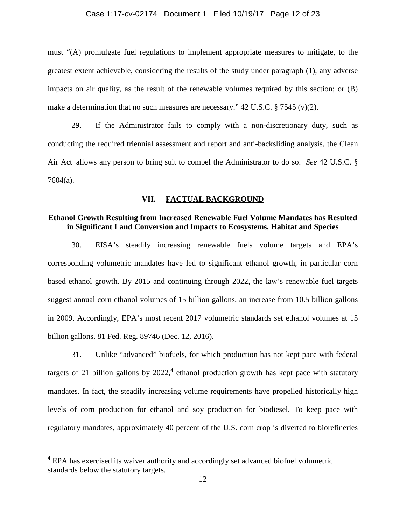#### Case 1:17-cv-02174 Document 1 Filed 10/19/17 Page 12 of 23

must "(A) promulgate fuel regulations to implement appropriate measures to mitigate, to the greatest extent achievable, considering the results of the study under paragraph (1), any adverse impacts on air quality, as the result of the renewable volumes required by this section; or (B) make a determination that no such measures are necessary." 42 U.S.C. § 7545 (v)(2).

29. If the Administrator fails to comply with a non-discretionary duty, such as conducting the required triennial assessment and report and anti-backsliding analysis, the Clean Air Act allows any person to bring suit to compel the Administrator to do so. *See* 42 U.S.C. § 7604(a).

#### **VII. FACTUAL BACKGROUND**

### **Ethanol Growth Resulting from Increased Renewable Fuel Volume Mandates has Resulted in Significant Land Conversion and Impacts to Ecosystems, Habitat and Species**

30. EISA's steadily increasing renewable fuels volume targets and EPA's corresponding volumetric mandates have led to significant ethanol growth, in particular corn based ethanol growth. By 2015 and continuing through 2022, the law's renewable fuel targets suggest annual corn ethanol volumes of 15 billion gallons, an increase from 10.5 billion gallons in 2009. Accordingly, EPA's most recent 2017 volumetric standards set ethanol volumes at 15 billion gallons. 81 Fed. Reg. 89746 (Dec. 12, 2016).

31. Unlike "advanced" biofuels, for which production has not kept pace with federal targets of 21 billion gallons by  $2022$ ,  $4$  ethanol production growth has kept pace with statutory mandates. In fact, the steadily increasing volume requirements have propelled historically high levels of corn production for ethanol and soy production for biodiesel. To keep pace with regulatory mandates, approximately 40 percent of the U.S. corn crop is diverted to biorefineries

<sup>&</sup>lt;sup>4</sup> EPA has exercised its waiver authority and accordingly set advanced biofuel volumetric standards below the statutory targets.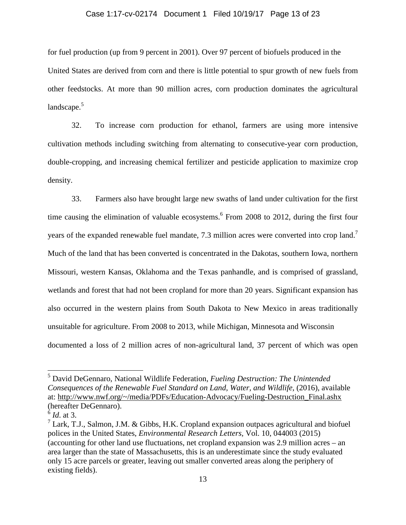#### Case 1:17-cv-02174 Document 1 Filed 10/19/17 Page 13 of 23

for fuel production (up from 9 percent in 2001). Over 97 percent of biofuels produced in the United States are derived from corn and there is little potential to spur growth of new fuels from other feedstocks. At more than 90 million acres, corn production dominates the agricultural landscape. $5$ 

32. To increase corn production for ethanol, farmers are using more intensive cultivation methods including switching from alternating to consecutive-year corn production, double-cropping, and increasing chemical fertilizer and pesticide application to maximize crop density.

33. Farmers also have brought large new swaths of land under cultivation for the first time causing the elimination of valuable ecosystems. 6 From 2008 to 2012, during the first four years of the expanded renewable fuel mandate, 7.3 million acres were converted into crop land.<sup>7</sup> Much of the land that has been converted is concentrated in the Dakotas, southern Iowa, northern Missouri, western Kansas, Oklahoma and the Texas panhandle, and is comprised of grassland, wetlands and forest that had not been cropland for more than 20 years. Significant expansion has also occurred in the western plains from South Dakota to New Mexico in areas traditionally unsuitable for agriculture. From 2008 to 2013, while Michigan, Minnesota and Wisconsin documented a loss of 2 million acres of non-agricultural land, 37 percent of which was open

<sup>5</sup> David DeGennaro, National Wildlife Federation, *Fueling Destruction: The Unintended Consequences of the Renewable Fuel Standard on Land, Water, and Wildlife*, (2016), available at: http://www.nwf.org/~/media/PDFs/Education-Advocacy/Fueling-Destruction\_Final.ashx (hereafter DeGennaro).

<sup>6</sup> *Id*. at 3.

 $7$  Lark, T.J., Salmon, J.M. & Gibbs, H.K. Cropland expansion outpaces agricultural and biofuel polices in the United States, *Environmental Research Letters,* Vol. 10, 044003 (2015) (accounting for other land use fluctuations, net cropland expansion was 2.9 million acres – an area larger than the state of Massachusetts, this is an underestimate since the study evaluated only 15 acre parcels or greater, leaving out smaller converted areas along the periphery of existing fields).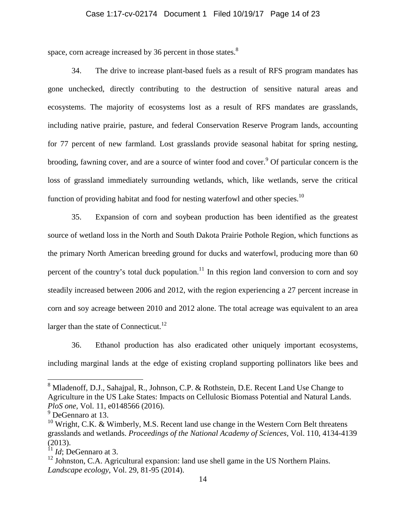#### Case 1:17-cv-02174 Document 1 Filed 10/19/17 Page 14 of 23

space, corn acreage increased by 36 percent in those states. $8$ 

34. The drive to increase plant-based fuels as a result of RFS program mandates has gone unchecked, directly contributing to the destruction of sensitive natural areas and ecosystems. The majority of ecosystems lost as a result of RFS mandates are grasslands, including native prairie, pasture, and federal Conservation Reserve Program lands, accounting for 77 percent of new farmland. Lost grasslands provide seasonal habitat for spring nesting, brooding, fawning cover, and are a source of winter food and cover.<sup>9</sup> Of particular concern is the loss of grassland immediately surrounding wetlands, which, like wetlands, serve the critical function of providing habitat and food for nesting waterfowl and other species.<sup>10</sup>

35. Expansion of corn and soybean production has been identified as the greatest source of wetland loss in the North and South Dakota Prairie Pothole Region, which functions as the primary North American breeding ground for ducks and waterfowl, producing more than 60 percent of the country's total duck population.<sup>11</sup> In this region land conversion to corn and soy steadily increased between 2006 and 2012, with the region experiencing a 27 percent increase in corn and soy acreage between 2010 and 2012 alone. The total acreage was equivalent to an area larger than the state of Connecticut.<sup>12</sup>

36. Ethanol production has also eradicated other uniquely important ecosystems, including marginal lands at the edge of existing cropland supporting pollinators like bees and

<sup>&</sup>lt;sup>8</sup> Mladenoff, D.J., Sahajpal, R., Johnson, C.P. & Rothstein, D.E. Recent Land Use Change to Agriculture in the US Lake States: Impacts on Cellulosic Biomass Potential and Natural Lands. *PloS one*, Vol. 11, e0148566 (2016).

<sup>&</sup>lt;sup>9</sup> DeGennaro at 13.

 $10$  Wright, C.K. & Wimberly, M.S. Recent land use change in the Western Corn Belt threatens grasslands and wetlands. *Proceedings of the National Academy of Sciences,* Vol. 110, 4134-4139 (2013).

<sup>11</sup> *Id*; DeGennaro at 3.

<sup>&</sup>lt;sup>12</sup> Johnston, C.A. Agricultural expansion: land use shell game in the US Northern Plains. *Landscape ecology*, Vol. 29, 81-95 (2014).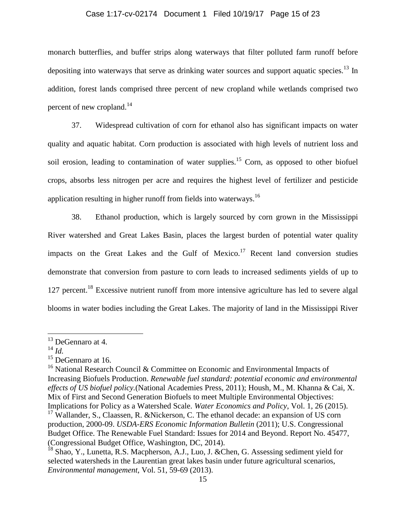#### Case 1:17-cv-02174 Document 1 Filed 10/19/17 Page 15 of 23

monarch butterflies, and buffer strips along waterways that filter polluted farm runoff before depositing into waterways that serve as drinking water sources and support aquatic species.<sup>13</sup> In addition, forest lands comprised three percent of new cropland while wetlands comprised two percent of new cropland.<sup>14</sup>

37. Widespread cultivation of corn for ethanol also has significant impacts on water quality and aquatic habitat. Corn production is associated with high levels of nutrient loss and soil erosion, leading to contamination of water supplies.<sup>15</sup> Corn, as opposed to other biofuel crops, absorbs less nitrogen per acre and requires the highest level of fertilizer and pesticide application resulting in higher runoff from fields into waterways.<sup>16</sup>

38. Ethanol production, which is largely sourced by corn grown in the Mississippi River watershed and Great Lakes Basin, places the largest burden of potential water quality impacts on the Great Lakes and the Gulf of Mexico.<sup>17</sup> Recent land conversion studies demonstrate that conversion from pasture to corn leads to increased sediments yields of up to 127 percent.<sup>18</sup> Excessive nutrient runoff from more intensive agriculture has led to severe algal blooms in water bodies including the Great Lakes. The majority of land in the Mississippi River

<sup>13</sup> DeGennaro at 4.

<sup>14</sup> *Id.*

 $15$  DeGennaro at 16.

<sup>&</sup>lt;sup>16</sup> National Research Council & Committee on Economic and Environmental Impacts of Increasing Biofuels Production. *Renewable fuel standard: potential economic and environmental effects of US biofuel policy.*(National Academies Press, 2011); Housh, M., M. Khanna & Cai, X. Mix of First and Second Generation Biofuels to meet Multiple Environmental Objectives: Implications for Policy as a Watershed Scale. *Water Economics and Policy*, Vol. 1, 26 (2015). <sup>17</sup> Wallander, S., Claassen, R. &Nickerson, C. The ethanol decade: an expansion of US corn

production, 2000-09. *USDA-ERS Economic Information Bulletin* (2011); U.S. Congressional Budget Office. The Renewable Fuel Standard: Issues for 2014 and Beyond. Report No. 45477, (Congressional Budget Office, Washington, DC, 2014).

<sup>&</sup>lt;sup>18</sup> Shao, Y., Lunetta, R.S. Macpherson, A.J., Luo, J. & Chen, G. Assessing sediment yield for selected watersheds in the Laurentian great lakes basin under future agricultural scenarios, *Environmental management*, Vol. 51, 59-69 (2013).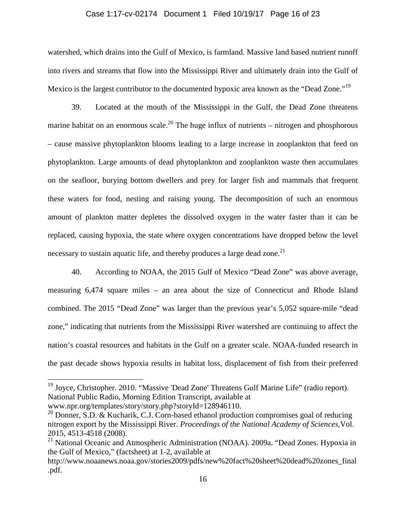#### Case 1:17-cv-02174 Document 1 Filed 10/19/17 Page 16 of 23

watershed, which drains into the Gulf of Mexico, is farmland. Massive land based nutrient runoff into rivers and streams that flow into the Mississippi River and ultimately drain into the Gulf of Mexico is the largest contributor to the documented hypoxic area known as the "Dead Zone."<sup>19</sup>

39. Located at the mouth of the Mississippi in the Gulf, the Dead Zone threatens marine habitat on an enormous scale.<sup>20</sup> The huge influx of nutrients – nitrogen and phosphorous – cause massive phytoplankton blooms leading to a large increase in zooplankton that feed on phytoplankton. Large amounts of dead phytoplankton and zooplankton waste then accumulates on the seafloor, burying bottom dwellers and prey for larger fish and mammals that frequent these waters for food, nesting and raising young. The decomposition of such an enormous amount of plankton matter depletes the dissolved oxygen in the water faster than it can be replaced, causing hypoxia, the state where oxygen concentrations have dropped below the level necessary to sustain aquatic life, and thereby produces a large dead zone.<sup>21</sup>

40. According to NOAA, the 2015 Gulf of Mexico "Dead Zone" was above average, measuring 6,474 square miles – an area about the size of Connecticut and Rhode Island combined. The 2015 "Dead Zone" was larger than the previous year's 5,052 square-mile "dead zone," indicating that nutrients from the Mississippi River watershed are continuing to affect the nation's coastal resources and habitats in the Gulf on a greater scale. NOAA-funded research in the past decade shows hypoxia results in habitat loss, displacement of fish from their preferred

<sup>&</sup>lt;sup>19</sup> Joyce, Christopher. 2010. "Massive 'Dead Zone' Threatens Gulf Marine Life" (radio report). National Public Radio, Morning Edition Transcript, available at

www.npr.org/templates/story/story.php?storyId=128946110.

<sup>&</sup>lt;sup>20</sup> Donner, S.D. & Kucharik, C.J. Corn-based ethanol production compromises goal of reducing nitrogen export by the Mississippi River. *Proceedings of the National Academy of Sciences,*Vol. 2015, 4513-4518 (2008).

<sup>&</sup>lt;sup>21</sup> National Oceanic and Atmospheric Administration (NOAA). 2009a. "Dead Zones. Hypoxia in the Gulf of Mexico," (factsheet) at 1-2, available at

http://www.noaanews.noaa.gov/stories2009/pdfs/new%20fact%20sheet%20dead%20zones\_final .pdf.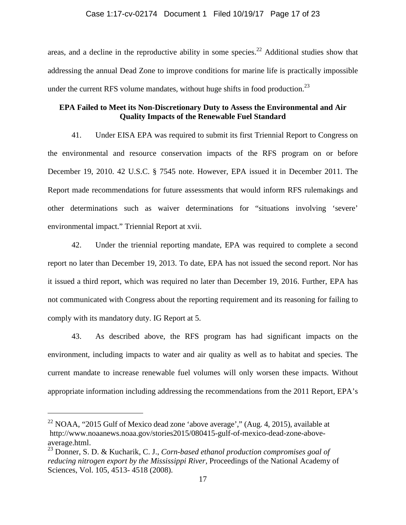areas, and a decline in the reproductive ability in some species.<sup>22</sup> Additional studies show that addressing the annual Dead Zone to improve conditions for marine life is practically impossible under the current RFS volume mandates, without huge shifts in food production.<sup>23</sup>

# **EPA Failed to Meet its Non-Discretionary Duty to Assess the Environmental and Air Quality Impacts of the Renewable Fuel Standard**

41. Under EISA EPA was required to submit its first Triennial Report to Congress on the environmental and resource conservation impacts of the RFS program on or before December 19, 2010. 42 U.S.C. § 7545 note. However, EPA issued it in December 2011. The Report made recommendations for future assessments that would inform RFS rulemakings and other determinations such as waiver determinations for "situations involving 'severe' environmental impact." Triennial Report at xvii.

42. Under the triennial reporting mandate, EPA was required to complete a second report no later than December 19, 2013. To date, EPA has not issued the second report. Nor has it issued a third report, which was required no later than December 19, 2016. Further, EPA has not communicated with Congress about the reporting requirement and its reasoning for failing to comply with its mandatory duty. IG Report at 5.

43. As described above, the RFS program has had significant impacts on the environment, including impacts to water and air quality as well as to habitat and species. The current mandate to increase renewable fuel volumes will only worsen these impacts. Without appropriate information including addressing the recommendations from the 2011 Report, EPA's

<sup>&</sup>lt;sup>22</sup> NOAA, "2015 Gulf of Mexico dead zone 'above average'," (Aug. 4, 2015), available at http://www.noaanews.noaa.gov/stories2015/080415-gulf-of-mexico-dead-zone-aboveaverage.html.

<sup>23</sup> Donner, S. D. & Kucharik, C. J., *Corn-based ethanol production compromises goal of reducing nitrogen export by the Mississippi River,* Proceedings of the National Academy of Sciences, Vol. 105, 4513- 4518 (2008).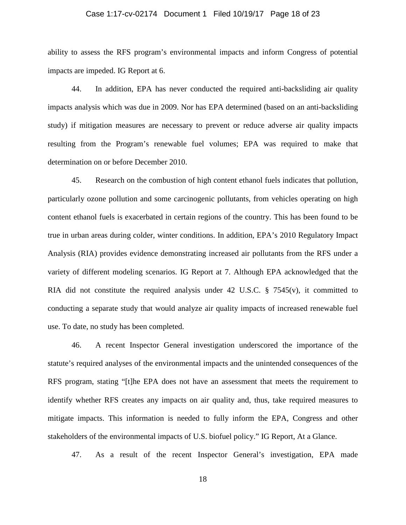#### Case 1:17-cv-02174 Document 1 Filed 10/19/17 Page 18 of 23

ability to assess the RFS program's environmental impacts and inform Congress of potential impacts are impeded. IG Report at 6.

44. In addition, EPA has never conducted the required anti-backsliding air quality impacts analysis which was due in 2009. Nor has EPA determined (based on an anti-backsliding study) if mitigation measures are necessary to prevent or reduce adverse air quality impacts resulting from the Program's renewable fuel volumes; EPA was required to make that determination on or before December 2010.

45. Research on the combustion of high content ethanol fuels indicates that pollution, particularly ozone pollution and some carcinogenic pollutants, from vehicles operating on high content ethanol fuels is exacerbated in certain regions of the country. This has been found to be true in urban areas during colder, winter conditions. In addition, EPA's 2010 Regulatory Impact Analysis (RIA) provides evidence demonstrating increased air pollutants from the RFS under a variety of different modeling scenarios. IG Report at 7. Although EPA acknowledged that the RIA did not constitute the required analysis under 42 U.S.C.  $\S$  7545(v), it committed to conducting a separate study that would analyze air quality impacts of increased renewable fuel use. To date, no study has been completed.

46. A recent Inspector General investigation underscored the importance of the statute's required analyses of the environmental impacts and the unintended consequences of the RFS program, stating "[t]he EPA does not have an assessment that meets the requirement to identify whether RFS creates any impacts on air quality and, thus, take required measures to mitigate impacts. This information is needed to fully inform the EPA, Congress and other stakeholders of the environmental impacts of U.S. biofuel policy." IG Report, At a Glance.

47. As a result of the recent Inspector General's investigation, EPA made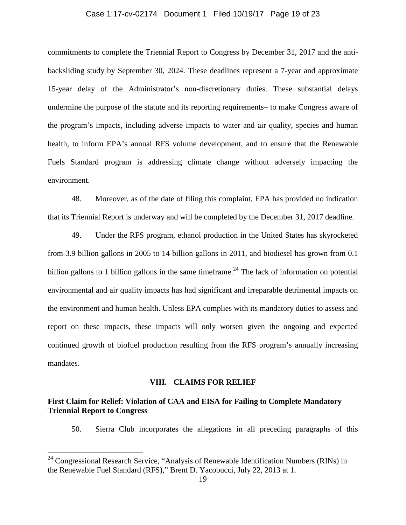#### Case 1:17-cv-02174 Document 1 Filed 10/19/17 Page 19 of 23

commitments to complete the Triennial Report to Congress by December 31, 2017 and the antibacksliding study by September 30, 2024. These deadlines represent a 7-year and approximate 15-year delay of the Administrator's non-discretionary duties. These substantial delays undermine the purpose of the statute and its reporting requirements– to make Congress aware of the program's impacts, including adverse impacts to water and air quality, species and human health, to inform EPA's annual RFS volume development, and to ensure that the Renewable Fuels Standard program is addressing climate change without adversely impacting the environment.

48. Moreover, as of the date of filing this complaint, EPA has provided no indication that its Triennial Report is underway and will be completed by the December 31, 2017 deadline.

49. Under the RFS program, ethanol production in the United States has skyrocketed from 3.9 billion gallons in 2005 to 14 billion gallons in 2011, and biodiesel has grown from 0.1 billion gallons to 1 billion gallons in the same timeframe.<sup>24</sup> The lack of information on potential environmental and air quality impacts has had significant and irreparable detrimental impacts on the environment and human health. Unless EPA complies with its mandatory duties to assess and report on these impacts, these impacts will only worsen given the ongoing and expected continued growth of biofuel production resulting from the RFS program's annually increasing mandates.

#### **VIII. CLAIMS FOR RELIEF**

# **First Claim for Relief: Violation of CAA and EISA for Failing to Complete Mandatory Triennial Report to Congress**

50. Sierra Club incorporates the allegations in all preceding paragraphs of this

<sup>&</sup>lt;sup>24</sup> Congressional Research Service, "Analysis of Renewable Identification Numbers (RINs) in the Renewable Fuel Standard (RFS)," Brent D. Yacobucci, July 22, 2013 at 1.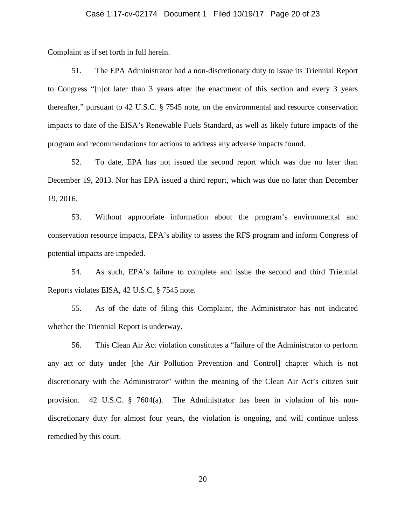#### Case 1:17-cv-02174 Document 1 Filed 10/19/17 Page 20 of 23

Complaint as if set forth in full herein.

51. The EPA Administrator had a non-discretionary duty to issue its Triennial Report to Congress "[n]ot later than 3 years after the enactment of this section and every 3 years thereafter," pursuant to 42 U.S.C. § 7545 note, on the environmental and resource conservation impacts to date of the EISA's Renewable Fuels Standard, as well as likely future impacts of the program and recommendations for actions to address any adverse impacts found.

52. To date, EPA has not issued the second report which was due no later than December 19, 2013. Nor has EPA issued a third report, which was due no later than December 19, 2016.

53. Without appropriate information about the program's environmental and conservation resource impacts, EPA's ability to assess the RFS program and inform Congress of potential impacts are impeded.

54. As such, EPA's failure to complete and issue the second and third Triennial Reports violates EISA, 42 U.S.C. § 7545 note.

55. As of the date of filing this Complaint, the Administrator has not indicated whether the Triennial Report is underway.

56. This Clean Air Act violation constitutes a "failure of the Administrator to perform any act or duty under [the Air Pollution Prevention and Control] chapter which is not discretionary with the Administrator" within the meaning of the Clean Air Act's citizen suit provision. 42 U.S.C. § 7604(a). The Administrator has been in violation of his nondiscretionary duty for almost four years, the violation is ongoing, and will continue unless remedied by this court.

20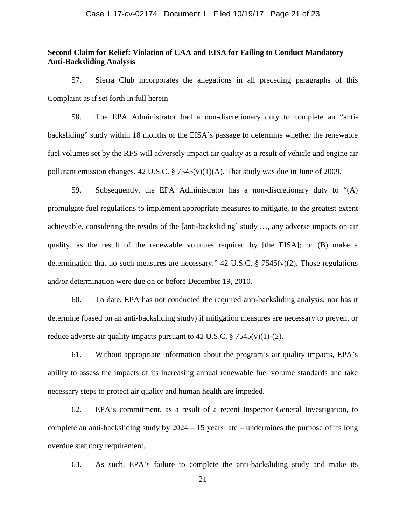#### Case 1:17-cv-02174 Document 1 Filed 10/19/17 Page 21 of 23

### **Second Claim for Relief: Violation of CAA and EISA for Failing to Conduct Mandatory Anti-Backsliding Analysis**

57. Sierra Club incorporates the allegations in all preceding paragraphs of this Complaint as if set forth in full herein

58. The EPA Administrator had a non-discretionary duty to complete an "antibacksliding" study within 18 months of the EISA's passage to determine whether the renewable fuel volumes set by the RFS will adversely impact air quality as a result of vehicle and engine air pollutant emission changes. 42 U.S.C. § 7545(v)(1)(A). That study was due in June of 2009.

59. Subsequently, the EPA Administrator has a non-discretionary duty to "(A) promulgate fuel regulations to implement appropriate measures to mitigate, to the greatest extent achievable, considering the results of the [anti-backsliding] study …, any adverse impacts on air quality, as the result of the renewable volumes required by [the EISA]; or (B) make a determination that no such measures are necessary." 42 U.S.C.  $\S$  7545(v)(2). Those regulations and/or determination were due on or before December 19, 2010.

60. To date, EPA has not conducted the required anti-backsliding analysis, nor has it determine (based on an anti-backsliding study) if mitigation measures are necessary to prevent or reduce adverse air quality impacts pursuant to 42 U.S.C.  $\S$  7545(v)(1)-(2).

61. Without appropriate information about the program's air quality impacts, EPA's ability to assess the impacts of its increasing annual renewable fuel volume standards and take necessary steps to protect air quality and human health are impeded.

62. EPA's commitment, as a result of a recent Inspector General Investigation, to complete an anti-backsliding study by 2024 – 15 years late – undermines the purpose of its long overdue statutory requirement.

63. As such, EPA's failure to complete the anti-backsliding study and make its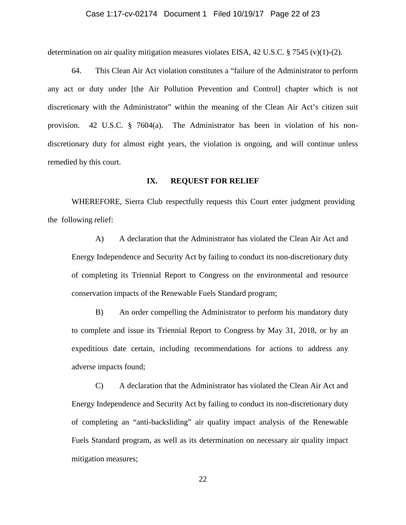#### Case 1:17-cv-02174 Document 1 Filed 10/19/17 Page 22 of 23

determination on air quality mitigation measures violates EISA, 42 U.S.C.  $\S 7545$  (v)(1)-(2).

64. This Clean Air Act violation constitutes a "failure of the Administrator to perform any act or duty under [the Air Pollution Prevention and Control] chapter which is not discretionary with the Administrator" within the meaning of the Clean Air Act's citizen suit provision. 42 U.S.C. § 7604(a). The Administrator has been in violation of his nondiscretionary duty for almost eight years, the violation is ongoing, and will continue unless remedied by this court.

#### **IX. REQUEST FOR RELIEF**

WHEREFORE, Sierra Club respectfully requests this Court enter judgment providing the following relief:

A) A declaration that the Administrator has violated the Clean Air Act and Energy Independence and Security Act by failing to conduct its non-discretionary duty of completing its Triennial Report to Congress on the environmental and resource conservation impacts of the Renewable Fuels Standard program;

B) An order compelling the Administrator to perform his mandatory duty to complete and issue its Triennial Report to Congress by May 31, 2018, or by an expeditious date certain, including recommendations for actions to address any adverse impacts found;

C) A declaration that the Administrator has violated the Clean Air Act and Energy Independence and Security Act by failing to conduct its non-discretionary duty of completing an "anti-backsliding" air quality impact analysis of the Renewable Fuels Standard program, as well as its determination on necessary air quality impact mitigation measures;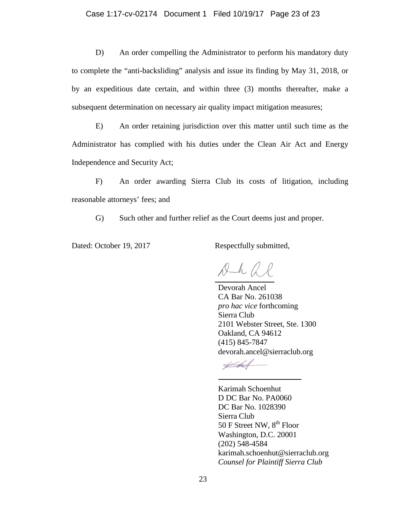D) An order compelling the Administrator to perform his mandatory duty to complete the "anti-backsliding" analysis and issue its finding by May 31, 2018, or by an expeditious date certain, and within three (3) months thereafter, make a subsequent determination on necessary air quality impact mitigation measures;

E) An order retaining jurisdiction over this matter until such time as the Administrator has complied with his duties under the Clean Air Act and Energy Independence and Security Act;

F) An order awarding Sierra Club its costs of litigation, including reasonable attorneys' fees; and

G) Such other and further relief as the Court deems just and proper.

Dated: October 19, 2017 Respectfully submitted,

 $\n *l l l*\n$ 

 Devorah Ancel CA Bar No. 261038 *pro hac vice* forthcoming Sierra Club 2101 Webster Street, Ste. 1300 Oakland, CA 94612 (415) 845-7847 devorah.ancel@sierraclub.org

Karimah Schoenhut D DC Bar No. PA0060 DC Bar No. 1028390 Sierra Club 50 F Street NW,  $8^{th}$  Floor Washington, D.C. 20001 (202) 548-4584 karimah.schoenhut@sierraclub.org *Counsel for Plaintiff Sierra Club*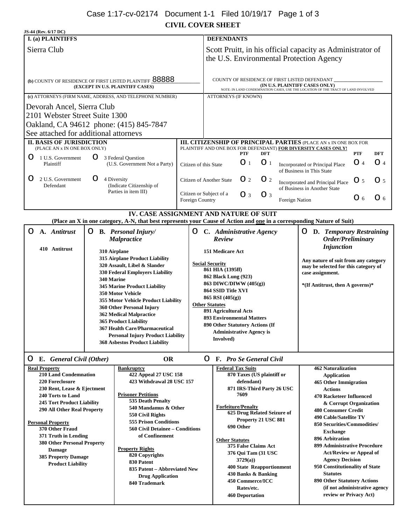# Case 1:17-cv-02174 Document 1-1 Filed 10/19/17 Page 1 of 3

**CIVIL COVER SHEET**

| JS-44 (Rev. 6/17 DC)                                                                                                                                                                                                                                                                                                                                                                                                                                                             |                                                       |                                                                                                                                                                                                                                                                                                                                                                                                         |                                                                                                                                                                                                                                                                                                                                              |                                            |                                                                                |                                                                                                                                      |                                                                                                                                                                                                                          |                                                                                                                                                                     |                                                                                                                                                                                                                                                                                                                                                                                                                                                                                                                          |              |                |
|----------------------------------------------------------------------------------------------------------------------------------------------------------------------------------------------------------------------------------------------------------------------------------------------------------------------------------------------------------------------------------------------------------------------------------------------------------------------------------|-------------------------------------------------------|---------------------------------------------------------------------------------------------------------------------------------------------------------------------------------------------------------------------------------------------------------------------------------------------------------------------------------------------------------------------------------------------------------|----------------------------------------------------------------------------------------------------------------------------------------------------------------------------------------------------------------------------------------------------------------------------------------------------------------------------------------------|--------------------------------------------|--------------------------------------------------------------------------------|--------------------------------------------------------------------------------------------------------------------------------------|--------------------------------------------------------------------------------------------------------------------------------------------------------------------------------------------------------------------------|---------------------------------------------------------------------------------------------------------------------------------------------------------------------|--------------------------------------------------------------------------------------------------------------------------------------------------------------------------------------------------------------------------------------------------------------------------------------------------------------------------------------------------------------------------------------------------------------------------------------------------------------------------------------------------------------------------|--------------|----------------|
| I. (a) PLAINTIFFS                                                                                                                                                                                                                                                                                                                                                                                                                                                                |                                                       |                                                                                                                                                                                                                                                                                                                                                                                                         |                                                                                                                                                                                                                                                                                                                                              |                                            | <b>DEFENDANTS</b>                                                              |                                                                                                                                      |                                                                                                                                                                                                                          |                                                                                                                                                                     |                                                                                                                                                                                                                                                                                                                                                                                                                                                                                                                          |              |                |
| Sierra Club                                                                                                                                                                                                                                                                                                                                                                                                                                                                      |                                                       |                                                                                                                                                                                                                                                                                                                                                                                                         | Scott Pruitt, in his official capacity as Administrator of<br>the U.S. Environmental Protection Agency                                                                                                                                                                                                                                       |                                            |                                                                                |                                                                                                                                      |                                                                                                                                                                                                                          |                                                                                                                                                                     |                                                                                                                                                                                                                                                                                                                                                                                                                                                                                                                          |              |                |
| (b) COUNTY OF RESIDENCE OF FIRST LISTED PLAINTIFF 88888<br>(EXCEPT IN U.S. PLAINTIFF CASES)                                                                                                                                                                                                                                                                                                                                                                                      |                                                       |                                                                                                                                                                                                                                                                                                                                                                                                         |                                                                                                                                                                                                                                                                                                                                              |                                            |                                                                                |                                                                                                                                      |                                                                                                                                                                                                                          | COUNTY OF RESIDENCE OF FIRST LISTED DEFENDANT<br>(IN U.S. PLAINTIFF CASES ONLY)<br>NOTE: IN LAND CONDEMNATION CASES, USE THE LOCATION OF THE TRACT OF LAND INVOLVED |                                                                                                                                                                                                                                                                                                                                                                                                                                                                                                                          |              |                |
|                                                                                                                                                                                                                                                                                                                                                                                                                                                                                  |                                                       | (c) ATTORNEYS (FIRM NAME, ADDRESS, AND TELEPHONE NUMBER)                                                                                                                                                                                                                                                                                                                                                |                                                                                                                                                                                                                                                                                                                                              |                                            | ATTORNEYS (IF KNOWN)                                                           |                                                                                                                                      |                                                                                                                                                                                                                          |                                                                                                                                                                     |                                                                                                                                                                                                                                                                                                                                                                                                                                                                                                                          |              |                |
| Devorah Ancel, Sierra Club                                                                                                                                                                                                                                                                                                                                                                                                                                                       |                                                       |                                                                                                                                                                                                                                                                                                                                                                                                         |                                                                                                                                                                                                                                                                                                                                              |                                            |                                                                                |                                                                                                                                      |                                                                                                                                                                                                                          |                                                                                                                                                                     |                                                                                                                                                                                                                                                                                                                                                                                                                                                                                                                          |              |                |
| 2101 Webster Street Suite 1300                                                                                                                                                                                                                                                                                                                                                                                                                                                   |                                                       |                                                                                                                                                                                                                                                                                                                                                                                                         |                                                                                                                                                                                                                                                                                                                                              |                                            |                                                                                |                                                                                                                                      |                                                                                                                                                                                                                          |                                                                                                                                                                     |                                                                                                                                                                                                                                                                                                                                                                                                                                                                                                                          |              |                |
| Oakland, CA 94612 phone: (415) 845-7847                                                                                                                                                                                                                                                                                                                                                                                                                                          |                                                       |                                                                                                                                                                                                                                                                                                                                                                                                         |                                                                                                                                                                                                                                                                                                                                              |                                            |                                                                                |                                                                                                                                      |                                                                                                                                                                                                                          |                                                                                                                                                                     |                                                                                                                                                                                                                                                                                                                                                                                                                                                                                                                          |              |                |
| See attached for additional attorneys                                                                                                                                                                                                                                                                                                                                                                                                                                            |                                                       |                                                                                                                                                                                                                                                                                                                                                                                                         |                                                                                                                                                                                                                                                                                                                                              |                                            |                                                                                |                                                                                                                                      |                                                                                                                                                                                                                          |                                                                                                                                                                     |                                                                                                                                                                                                                                                                                                                                                                                                                                                                                                                          |              |                |
| <b>II. BASIS OF JURISDICTION</b><br>(PLACE AN x IN ONE BOX ONLY)                                                                                                                                                                                                                                                                                                                                                                                                                 |                                                       |                                                                                                                                                                                                                                                                                                                                                                                                         |                                                                                                                                                                                                                                                                                                                                              |                                            |                                                                                | <b>PTF</b>                                                                                                                           | <b>DFT</b>                                                                                                                                                                                                               |                                                                                                                                                                     | <b>III. CITIZENSHIP OF PRINCIPAL PARTIES (PLACE AN X IN ONE BOX FOR</b><br>PLAINTIFF AND ONE BOX FOR DEFENDANT) FOR DIVERSITY CASES ONLY!                                                                                                                                                                                                                                                                                                                                                                                | <b>PTF</b>   | <b>DFT</b>     |
| 1 U.S. Government<br>Plaintiff                                                                                                                                                                                                                                                                                                                                                                                                                                                   | O                                                     | 3 Federal Question<br>(U.S. Government Not a Party)                                                                                                                                                                                                                                                                                                                                                     |                                                                                                                                                                                                                                                                                                                                              | Citizen of this State                      |                                                                                | $\bigcirc$ 1                                                                                                                         | $\bigcirc$ 1                                                                                                                                                                                                             |                                                                                                                                                                     | Incorporated or Principal Place<br>of Business in This State                                                                                                                                                                                                                                                                                                                                                                                                                                                             | O 4          | $\bigcirc$ 4   |
| 2 U.S. Government<br>$\odot$<br>Defendant                                                                                                                                                                                                                                                                                                                                                                                                                                        |                                                       | 4 Diversity<br>(Indicate Citizenship of                                                                                                                                                                                                                                                                                                                                                                 |                                                                                                                                                                                                                                                                                                                                              |                                            | <b>Citizen of Another State</b>                                                | $\mathbb{O}$ 2                                                                                                                       | $\mathbb{O}$ 2                                                                                                                                                                                                           |                                                                                                                                                                     | Incorporated and Principal Place<br>of Business in Another State                                                                                                                                                                                                                                                                                                                                                                                                                                                         | $\bigcirc$ 5 | O <sub>5</sub> |
|                                                                                                                                                                                                                                                                                                                                                                                                                                                                                  |                                                       | Parties in item III)                                                                                                                                                                                                                                                                                                                                                                                    |                                                                                                                                                                                                                                                                                                                                              | Citizen or Subject of a<br>Foreign Country |                                                                                | $\bigcirc$ 3                                                                                                                         | $\bigcirc$ 3                                                                                                                                                                                                             | Foreign Nation                                                                                                                                                      |                                                                                                                                                                                                                                                                                                                                                                                                                                                                                                                          | $\bigcirc$ 6 | $\bigcirc$ 6   |
|                                                                                                                                                                                                                                                                                                                                                                                                                                                                                  |                                                       | IV. CASE ASSIGNMENT AND NATURE OF SUIT<br>(Place an X in one category, A-N, that best represents your Cause of Action and one in a corresponding Nature of Suit)                                                                                                                                                                                                                                        |                                                                                                                                                                                                                                                                                                                                              |                                            |                                                                                |                                                                                                                                      |                                                                                                                                                                                                                          |                                                                                                                                                                     |                                                                                                                                                                                                                                                                                                                                                                                                                                                                                                                          |              |                |
| A. Antitrust                                                                                                                                                                                                                                                                                                                                                                                                                                                                     | O<br><b>B.</b> Personal Injury/<br><b>Malpractice</b> |                                                                                                                                                                                                                                                                                                                                                                                                         |                                                                                                                                                                                                                                                                                                                                              | O                                          | C. Administrative Agency<br>Review                                             |                                                                                                                                      | O<br>D. Temporary Restraining<br>Order/Preliminary                                                                                                                                                                       |                                                                                                                                                                     |                                                                                                                                                                                                                                                                                                                                                                                                                                                                                                                          |              |                |
| 410 Antitrust<br>310 Airplane<br>315 Airplane Product Liability<br>320 Assault, Libel & Slander<br>330 Federal Employers Liability<br>340 Marine<br><b>345 Marine Product Liability</b><br><b>350 Motor Vehicle</b><br>355 Motor Vehicle Product Liability<br>360 Other Personal Injury<br>362 Medical Malpractice<br><b>365 Product Liability</b><br><b>367 Health Care/Pharmaceutical</b><br><b>Personal Injury Product Liability</b><br><b>368 Asbestos Product Liability</b> |                                                       |                                                                                                                                                                                                                                                                                                                                                                                                         | <b>151 Medicare Act</b><br><b>Social Security</b><br>861 HIA (1395ff)<br>862 Black Lung (923)<br>863 DIWC/DIWW (405(g))<br>864 SSID Title XVI<br>865 RSI (405(g))<br><b>Other Statutes</b><br>891 Agricultural Acts<br><b>X</b> 893 Environmental Matters<br>890 Other Statutory Actions (If<br><b>Administrative Agency is</b><br>Involved) |                                            |                                                                                | Any nature of suit from any category<br>may be selected for this category of<br>case assignment.<br>*(If Antitrust, then A governs)* |                                                                                                                                                                                                                          |                                                                                                                                                                     |                                                                                                                                                                                                                                                                                                                                                                                                                                                                                                                          |              |                |
| <b>E.</b> General Civil (Other)<br>O                                                                                                                                                                                                                                                                                                                                                                                                                                             |                                                       | <b>OR</b>                                                                                                                                                                                                                                                                                                                                                                                               |                                                                                                                                                                                                                                                                                                                                              | O.                                         | <b>F.</b> Pro Se General Civil                                                 |                                                                                                                                      |                                                                                                                                                                                                                          |                                                                                                                                                                     |                                                                                                                                                                                                                                                                                                                                                                                                                                                                                                                          |              |                |
| <b>Real Property</b><br><b>210 Land Condemnation</b><br>220 Foreclosure<br>230 Rent, Lease & Ejectment<br>240 Torts to Land<br><b>245 Tort Product Liability</b><br>290 All Other Real Property<br><b>Personal Property</b><br>370 Other Fraud<br>371 Truth in Lending<br>380 Other Personal Property<br><b>Damage</b><br>385 Property Damage<br><b>Product Liability</b>                                                                                                        |                                                       | <b>Bankruptcy</b><br>422 Appeal 27 USC 158<br>423 Withdrawal 28 USC 157<br><b>Prisoner Petitions</b><br>535 Death Penalty<br>540 Mandamus & Other<br>550 Civil Rights<br><b>555 Prison Conditions</b><br><b>560 Civil Detainee – Conditions</b><br>of Confinement<br><b>Property Rights</b><br>820 Copyrights<br>830 Patent<br>835 Patent - Abbreviated New<br><b>Drug Application</b><br>840 Trademark |                                                                                                                                                                                                                                                                                                                                              |                                            | <b>Federal Tax Suits</b><br><b>Forfeiture/Penalty</b><br><b>Other Statutes</b> | defendant)<br>7609<br>690 Other<br>3729(a)<br>450 Commerce/ICC<br>Rates/etc.<br><b>460 Deportation</b>                               | 870 Taxes (US plaintiff or<br>871 IRS-Third Party 26 USC<br>625 Drug Related Seizure of<br>Property 21 USC 881<br>375 False Claims Act<br>376 Qui Tam (31 USC<br><b>400 State Reapportionment</b><br>430 Banks & Banking |                                                                                                                                                                     | <b>462 Naturalization</b><br><b>Application</b><br>465 Other Immigration<br><b>Actions</b><br>470 Racketeer Influenced<br>& Corrupt Organization<br><b>480 Consumer Credit</b><br>490 Cable/Satellite TV<br>850 Securities/Commodities/<br><b>Exchange</b><br>896 Arbitration<br>899 Administrative Procedure<br><b>Act/Review or Appeal of</b><br><b>Agency Decision</b><br>950 Constitutionality of State<br><b>Statutes</b><br>890 Other Statutory Actions<br>(if not administrative agency<br>review or Privacy Act) |              |                |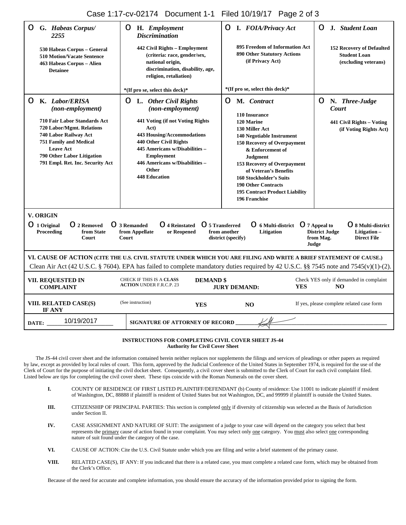Case 1:17-cv-02174 Document 1-1 Filed 10/19/17 Page 2 of 3

| G. Habeas Corpus/<br>2255                                                                                                                                                                                                                       | H. Employment<br>O<br><b>Discrimination</b>                                                                                                                                                                                                                                        | $\bigcirc$ I. FOIA/Privacy Act                                                                                                                                                                                                                                                                                                                                              | J. Student Loan<br>O                                                                                    |
|-------------------------------------------------------------------------------------------------------------------------------------------------------------------------------------------------------------------------------------------------|------------------------------------------------------------------------------------------------------------------------------------------------------------------------------------------------------------------------------------------------------------------------------------|-----------------------------------------------------------------------------------------------------------------------------------------------------------------------------------------------------------------------------------------------------------------------------------------------------------------------------------------------------------------------------|---------------------------------------------------------------------------------------------------------|
| 530 Habeas Corpus - General<br><b>510 Motion/Vacate Sentence</b><br>463 Habeas Corpus - Alien<br><b>Detainee</b>                                                                                                                                | 442 Civil Rights – Employment<br>(criteria: race, gender/sex,<br>national origin,<br>discrimination, disability, age,<br>religion, retaliation)                                                                                                                                    | 895 Freedom of Information Act<br><b>890 Other Statutory Actions</b><br>(if Privacy Act)                                                                                                                                                                                                                                                                                    | 152 Recovery of Defaulted<br><b>Student Loan</b><br>(excluding veterans)                                |
|                                                                                                                                                                                                                                                 | *(If pro se, select this deck)*                                                                                                                                                                                                                                                    | *(If pro se, select this deck)*                                                                                                                                                                                                                                                                                                                                             |                                                                                                         |
| K. Labor/ERISA<br>(non-employment)<br>710 Fair Labor Standards Act<br>720 Labor/Mgmt. Relations<br>740 Labor Railway Act<br><b>751 Family and Medical</b><br><b>Leave Act</b><br>790 Other Labor Litigation<br>791 Empl. Ret. Inc. Security Act | $\bigcirc$ L. Other Civil Rights<br>(non-employment)<br>441 Voting (if not Voting Rights<br>Act)<br>443 Housing/Accommodations<br>440 Other Civil Rights<br>445 Americans w/Disabilities -<br><b>Employment</b><br>446 Americans w/Disabilities -<br>Other<br><b>448 Education</b> | O<br>M. Contract<br>110 Insurance<br>120 Marine<br>130 Miller Act<br><b>140 Negotiable Instrument</b><br><b>150 Recovery of Overpayment</b><br>& Enforcement of<br><b>Judgment</b><br><b>153 Recovery of Overpayment</b><br>of Veteran's Benefits<br><b>160 Stockholder's Suits</b><br><b>190 Other Contracts</b><br><b>195 Contract Product Liability</b><br>196 Franchise | <b>O</b> N. Three-Judge<br>Court<br>441 Civil Rights - Voting<br>(if Voting Rights Act)                 |
| <b>V. ORIGIN</b>                                                                                                                                                                                                                                |                                                                                                                                                                                                                                                                                    |                                                                                                                                                                                                                                                                                                                                                                             |                                                                                                         |
| $\odot$ 1 Original<br>◯ 2 Removed<br>Proceeding<br>from State<br>Court                                                                                                                                                                          | ◯ 5 Transferred<br>◯ 3 Remanded<br>◯ 4 Reinstated<br>from Appellate<br>or Reopened<br>Court                                                                                                                                                                                        | ◯ 6 Multi-district ◯ 7 Appeal to<br>from another<br>Litigation<br>district (specify)                                                                                                                                                                                                                                                                                        | ◯ 8 Multi-district<br><b>District Judge</b><br>Litigation -<br>from Mag.<br><b>Direct File</b><br>Judge |
|                                                                                                                                                                                                                                                 | VI. CAUSE OF ACTION (CITE THE U.S. CIVIL STATUTE UNDER WHICH YOU ARE FILING AND WRITE A BRIEF STATEMENT OF CAUSE.)<br>Clean Air Act (42 U.S.C. § 7604). EPA has failed to complete mandatory duties required by 42 U.S.C. §§ 7545 note and 7545(v)(1)-(2).                         |                                                                                                                                                                                                                                                                                                                                                                             |                                                                                                         |
| VII. REQUESTED IN<br><b>COMPLAINT</b>                                                                                                                                                                                                           | CHECK IF THIS IS A CLASS<br><b>DEMAND \$</b><br><b>ACTION UNDER F.R.C.P. 23</b>                                                                                                                                                                                                    | <b>YES</b><br><b>JURY DEMAND:</b>                                                                                                                                                                                                                                                                                                                                           | Check YES only if demanded in complaint<br>NO <sub>x</sub>                                              |
| VIII. RELATED CASE(S)<br>IF ANY                                                                                                                                                                                                                 | (See instruction)<br><b>YES</b>                                                                                                                                                                                                                                                    | NO<br>$\mathsf{I} \mathsf{X}$                                                                                                                                                                                                                                                                                                                                               | If yes, please complete related case form                                                               |
| 10/19/2017<br>DATE:                                                                                                                                                                                                                             | SIGNATURE OF ATTORNEY OF RECORD __                                                                                                                                                                                                                                                 |                                                                                                                                                                                                                                                                                                                                                                             |                                                                                                         |

#### **INSTRUCTIONS FOR COMPLETING CIVIL COVER SHEET JS-44 Authority for Civil Cover Sheet**

The JS-44 civil cover sheet and the information contained herein neither replaces nor supplements the filings and services of pleadings or other papers as required by law, except as provided by local rules of court. This form, approved by the Judicial Conference of the United States in September 1974, is required for the use of the Clerk of Court for the purpose of initiating the civil docket sheet. Consequently, a civil cover sheet is submitted to the Clerk of Court for each civil complaint filed. Listed below are tips for completing the civil cover sheet. These tips coincide with the Roman Numerals on the cover sheet.

- **I.** COUNTY OF RESIDENCE OF FIRST LISTED PLAINTIFF/DEFENDANT (b) County of residence: Use 11001 to indicate plaintiff if resident of Washington, DC, 88888 if plaintiff is resident of United States but not Washington, DC, and 99999 if plaintiff is outside the United States.
- **III.** CITIZENSHIP OF PRINCIPAL PARTIES: This section is completed only if diversity of citizenship was selected as the Basis of Jurisdiction under Section II.
- **IV.** CASE ASSIGNMENT AND NATURE OF SUIT: The assignment of a judge to your case will depend on the category you select that best represents the primary cause of action found in your complaint. You may select only one category. You must also select one corresponding nature of suit found under the category of the case.
- **VI.** CAUSE OF ACTION: Cite the U.S. Civil Statute under which you are filing and write a brief statement of the primary cause.
- **VIII.** RELATED CASE(S), IF ANY: If you indicated that there is a related case, you must complete a related case form, which may be obtained from the Clerk's Office.

Because of the need for accurate and complete information, you should ensure the accuracy of the information provided prior to signing the form.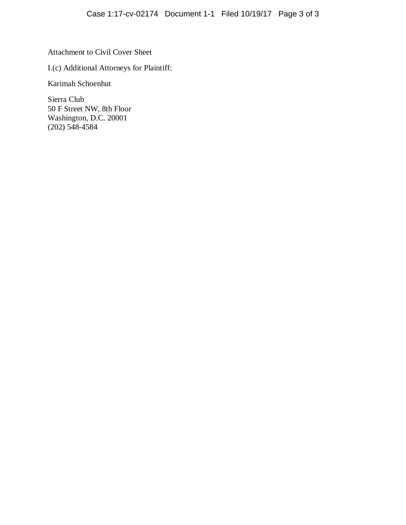Attachment to Civil Cover Sheet

I.(c) Additional Attorneys for Plaintiff:

Karimah Schoenhut

Sierra Club 50 F Street NW, 8th Floor Washington, D.C. 20001 (202) 548-4584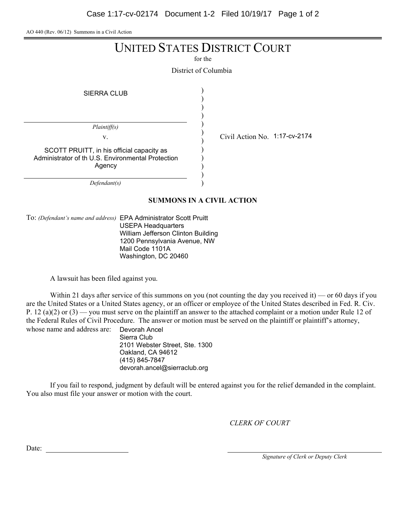AO 440 (Rev. 06/12) Summons in a Civil Action

# UNITED STATES DISTRICT COURT

for the

District of Columbia

)

SIERRA CLUB

) ) ) ) ) ) ) ) ) ) ) *Plaintiff(s)* v.  $\qquad \qquad \begin{array}{cc} \vee & \text{Civil Action No. } 1:17\text{-cv-2174} \end{array}$ *Defendant(s)* SCOTT PRUITT, in his official capacity as Administrator of th U.S. Environmental Protection Agency

**SUMMONS IN A CIVIL ACTION**

To: *(Defendant's name and address)* EPA Administrator Scott Pruitt USEPA Headquarters William Jefferson Clinton Building 1200 Pennsylvania Avenue, NW Mail Code 1101A Washington, DC 20460

A lawsuit has been filed against you.

Within 21 days after service of this summons on you (not counting the day you received it) — or 60 days if you are the United States or a United States agency, or an officer or employee of the United States described in Fed. R. Civ. P. 12 (a)(2) or  $(3)$  — you must serve on the plaintiff an answer to the attached complaint or a motion under Rule 12 of the Federal Rules of Civil Procedure. The answer or motion must be served on the plaintiff or plaintiff's attorney, whose name and address are: Devorah Ancel

Sierra Club 2101 Webster Street, Ste. 1300 Oakland, CA 94612 (415) 845-7847 devorah.ancel@sierraclub.org

If you fail to respond, judgment by default will be entered against you for the relief demanded in the complaint. You also must file your answer or motion with the court.

*CLERK OF COURT*

Date:

*Signature of Clerk or Deputy Clerk*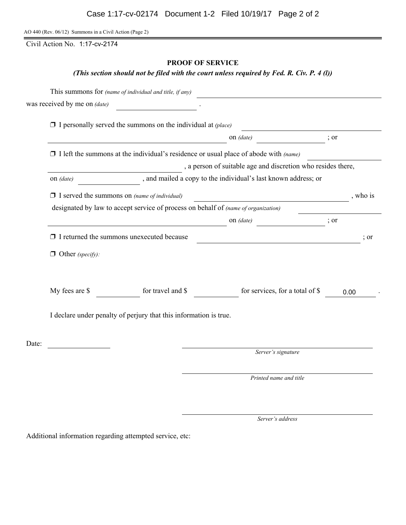AO 440 (Rev. 06/12) Summons in a Civil Action (Page 2)

Civil Action No. 1:17-cv-2174

# **PROOF OF SERVICE**

*(This section should not be filed with the court unless required by Fed. R. Civ. P. 4 (l))*

|                         | was received by me on $(data)$                                                              |                                                                |                  |                 |
|-------------------------|---------------------------------------------------------------------------------------------|----------------------------------------------------------------|------------------|-----------------|
|                         | $\Box$ I personally served the summons on the individual at (place)                         |                                                                |                  |                 |
|                         |                                                                                             | on $(date)$                                                    | $\frac{1}{2}$ or |                 |
|                         | $\Box$ I left the summons at the individual's residence or usual place of abode with (name) |                                                                |                  |                 |
|                         |                                                                                             | , a person of suitable age and discretion who resides there,   |                  |                 |
| on (date)               |                                                                                             | , and mailed a copy to the individual's last known address; or |                  |                 |
|                         | $\Box$ I served the summons on (name of individual)                                         | <u> 1989 - Johann Barn, mars ann an t-Amhain</u>               |                  | , who is        |
|                         | designated by law to accept service of process on behalf of (name of organization)          |                                                                |                  |                 |
|                         |                                                                                             | on (date)<br>$\frac{1}{2}$ or                                  |                  |                 |
|                         | $\Box$ I returned the summons unexecuted because                                            |                                                                |                  | $\therefore$ or |
| $\Box$ Other (specify): |                                                                                             |                                                                |                  |                 |
| My fees are \$          | for travel and \$                                                                           | for services, for a total of \$                                | 0.00             |                 |
|                         | I declare under penalty of perjury that this information is true.                           |                                                                |                  |                 |
| Date:                   |                                                                                             | Server's signature                                             |                  |                 |
|                         |                                                                                             |                                                                |                  |                 |
|                         |                                                                                             | Printed name and title                                         |                  |                 |

*Server's address*

Additional information regarding attempted service, etc: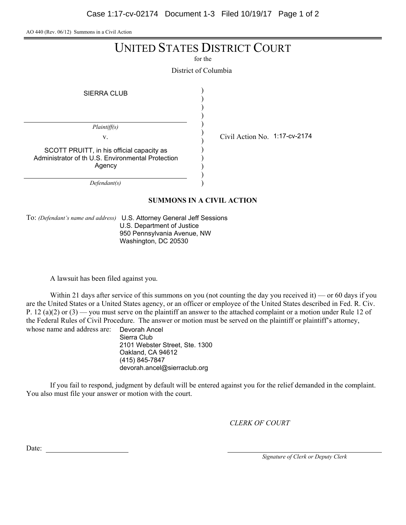AO 440 (Rev. 06/12) Summons in a Civil Action

# UNITED STATES DISTRICT COURT

for the

District of Columbia

) )

SIERRA CLUB

) ) ) ) ) ) ) ) ) *Plaintiff(s)* v.  $\qquad \qquad \begin{array}{cc} \vee & \text{Civil Action No. } 1:17\text{-cv-2174} \end{array}$ SCOTT PRUITT, in his official capacity as Administrator of th U.S. Environmental Protection Agency

*Defendant(s)*

**SUMMONS IN A CIVIL ACTION**

)

To: *(Defendant's name and address)* U.S. Attorney General Jeff Sessions U.S. Department of Justice 950 Pennsylvania Avenue, NW Washington, DC 20530

A lawsuit has been filed against you.

Within 21 days after service of this summons on you (not counting the day you received it) — or 60 days if you are the United States or a United States agency, or an officer or employee of the United States described in Fed. R. Civ. P. 12 (a)(2) or  $(3)$  — you must serve on the plaintiff an answer to the attached complaint or a motion under Rule 12 of the Federal Rules of Civil Procedure. The answer or motion must be served on the plaintiff or plaintiff's attorney, whose name and address are: Devorah Ancel

Sierra Club 2101 Webster Street, Ste. 1300 Oakland, CA 94612 (415) 845-7847 devorah.ancel@sierraclub.org

If you fail to respond, judgment by default will be entered against you for the relief demanded in the complaint. You also must file your answer or motion with the court.

*CLERK OF COURT*

Date:

*Signature of Clerk or Deputy Clerk*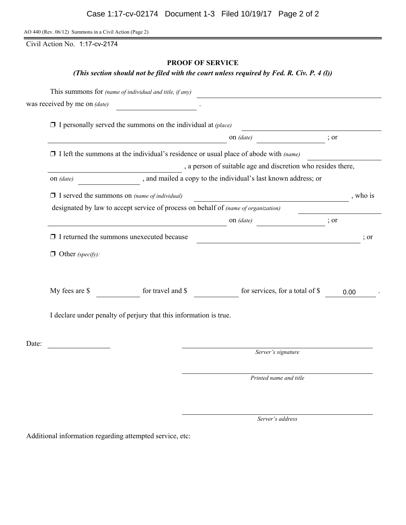AO 440 (Rev. 06/12) Summons in a Civil Action (Page 2)

Civil Action No. 1:17-cv-2174

# **PROOF OF SERVICE**

*(This section should not be filed with the court unless required by Fed. R. Civ. P. 4 (l))*

|                         | was received by me on $(data)$                                                              |                                                                |                  |                 |
|-------------------------|---------------------------------------------------------------------------------------------|----------------------------------------------------------------|------------------|-----------------|
|                         | $\Box$ I personally served the summons on the individual at (place)                         |                                                                |                  |                 |
|                         |                                                                                             | on $(date)$                                                    | $\frac{1}{2}$ or |                 |
|                         | $\Box$ I left the summons at the individual's residence or usual place of abode with (name) |                                                                |                  |                 |
|                         |                                                                                             | , a person of suitable age and discretion who resides there,   |                  |                 |
| on (date)               |                                                                                             | , and mailed a copy to the individual's last known address; or |                  |                 |
|                         | $\Box$ I served the summons on (name of individual)                                         | <u> 1989 - Johann Barn, mars ann an t-Amhain</u>               |                  | , who is        |
|                         | designated by law to accept service of process on behalf of (name of organization)          |                                                                |                  |                 |
|                         |                                                                                             | on (date)<br>$\frac{1}{2}$ or                                  |                  |                 |
|                         | $\Box$ I returned the summons unexecuted because                                            |                                                                |                  | $\therefore$ or |
| $\Box$ Other (specify): |                                                                                             |                                                                |                  |                 |
| My fees are \$          | for travel and \$                                                                           | for services, for a total of \$                                | 0.00             |                 |
|                         | I declare under penalty of perjury that this information is true.                           |                                                                |                  |                 |
| Date:                   |                                                                                             | Server's signature                                             |                  |                 |
|                         |                                                                                             |                                                                |                  |                 |
|                         |                                                                                             | Printed name and title                                         |                  |                 |

*Server's address*

Additional information regarding attempted service, etc: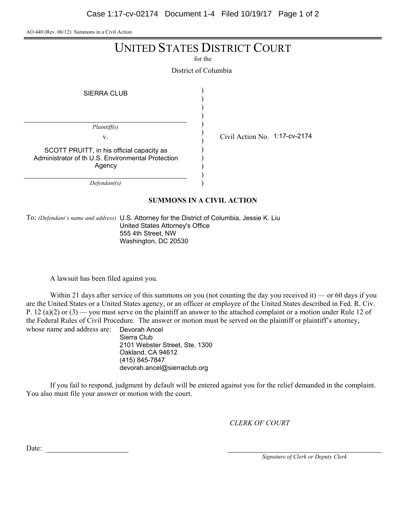AO 440 (Rev. 06/12) Summons in a Civil Action

# UNITED STATES DISTRICT COURT

for the

District of Columbia

) ) ) ) ) ) ) ) ) ) ) )

SIERRA CLUB

*Plaintiff(s)*

SCOTT PRUITT, in his official capacity as Administrator of th U.S. Environmental Protection Agency

*Defendant(s)*

v.  $\qquad \qquad \begin{array}{cc} \vee & \text{Civil Action No. } 1:17\text{-cv-2174} \end{array}$ 

**SUMMONS IN A CIVIL ACTION**

To: *(Defendant's name and address)* U.S. Attorney for the District of Columbia, Jessie K. Liu United States Attorney's Office 555 4th Street, NW Washington, DC 20530

A lawsuit has been filed against you.

Within 21 days after service of this summons on you (not counting the day you received it) — or 60 days if you are the United States or a United States agency, or an officer or employee of the United States described in Fed. R. Civ. P. 12 (a)(2) or  $(3)$  — you must serve on the plaintiff an answer to the attached complaint or a motion under Rule 12 of the Federal Rules of Civil Procedure. The answer or motion must be served on the plaintiff or plaintiff's attorney, whose name and address are: Devorah Ancel

Sierra Club 2101 Webster Street, Ste. 1300 Oakland, CA 94612 (415) 845-7847 devorah.ancel@sierraclub.org

If you fail to respond, judgment by default will be entered against you for the relief demanded in the complaint. You also must file your answer or motion with the court.

*CLERK OF COURT*

Date:

*Signature of Clerk or Deputy Clerk*